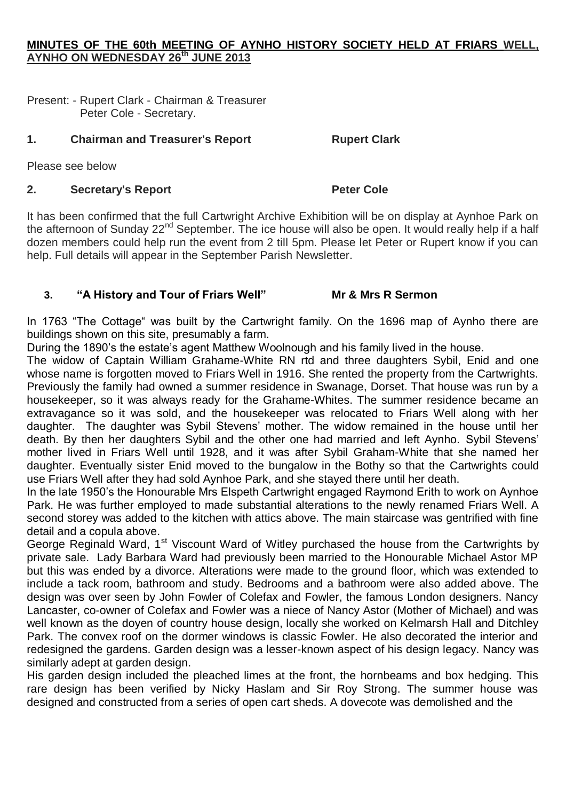## **MINUTES OF THE 60th MEETING OF AYNHO HISTORY SOCIETY HELD AT FRIARS WELL, AYNHO ON WEDNESDAY 26th JUNE 2013**

Present: - Rupert Clark - Chairman & Treasurer Peter Cole - Secretary.

## **1. Chairman and Treasurer's Report Rupert Clark**

Please see below

# **2. Secretary's Report Peter Cole**

It has been confirmed that the full Cartwright Archive Exhibition will be on display at Aynhoe Park on the afternoon of Sunday 22<sup>nd</sup> September. The ice house will also be open. It would really help if a half dozen members could help run the event from 2 till 5pm. Please let Peter or Rupert know if you can help. Full details will appear in the September Parish Newsletter.

## **3. "A History and Tour of Friars Well" Mr & Mrs R Sermon**

In 1763 "The Cottage" was built by the Cartwright family. On the 1696 map of Aynho there are buildings shown on this site, presumably a farm.

During the 1890's the estate's agent Matthew Woolnough and his family lived in the house.

The widow of Captain William Grahame-White RN rtd and three daughters Sybil, Enid and one whose name is forgotten moved to Friars Well in 1916. She rented the property from the Cartwrights. Previously the family had owned a summer residence in Swanage, Dorset. That house was run by a housekeeper, so it was always ready for the Grahame-Whites. The summer residence became an extravagance so it was sold, and the housekeeper was relocated to Friars Well along with her daughter. The daughter was Sybil Stevens' mother. The widow remained in the house until her death. By then her daughters Sybil and the other one had married and left Aynho. Sybil Stevens' mother lived in Friars Well until 1928, and it was after Sybil Graham-White that she named her daughter. Eventually sister Enid moved to the bungalow in the Bothy so that the Cartwrights could use Friars Well after they had sold Aynhoe Park, and she stayed there until her death.

In the late 1950's the Honourable Mrs Elspeth Cartwright engaged Raymond Erith to work on Aynhoe Park. He was further employed to made substantial alterations to the newly renamed Friars Well. A second storey was added to the kitchen with attics above. The main staircase was gentrified with fine detail and a copula above.

George Reginald Ward, 1<sup>st</sup> Viscount Ward of Witley purchased the house from the Cartwrights by private sale. Lady Barbara Ward had previously been married to the Honourable Michael Astor MP but this was ended by a divorce. Alterations were made to the ground floor, which was extended to include a tack room, bathroom and study. Bedrooms and a bathroom were also added above. The design was over seen by John Fowler of Colefax and Fowler, the famous London designers. Nancy Lancaster, co-owner of Colefax and Fowler was a niece of Nancy Astor (Mother of Michael) and was well known as the doyen of country house design, locally she worked on Kelmarsh Hall and Ditchley Park. The convex roof on the dormer windows is classic Fowler. He also decorated the interior and redesigned the gardens. Garden design was a lesser-known aspect of his design legacy. Nancy was similarly adept at garden design.

His garden design included the pleached limes at the front, the hornbeams and box hedging. This rare design has been verified by Nicky Haslam and Sir Roy Strong. The summer house was designed and constructed from a series of open cart sheds. A dovecote was demolished and the